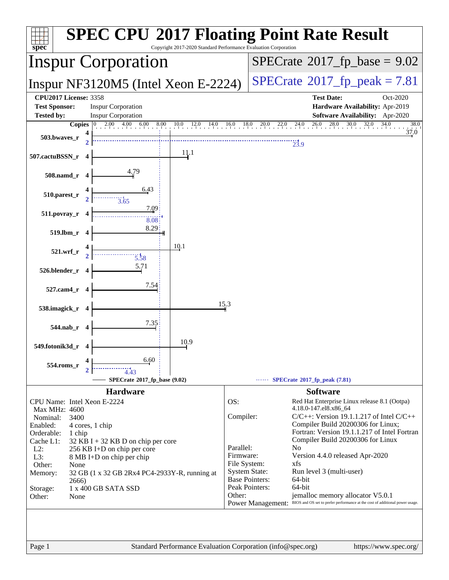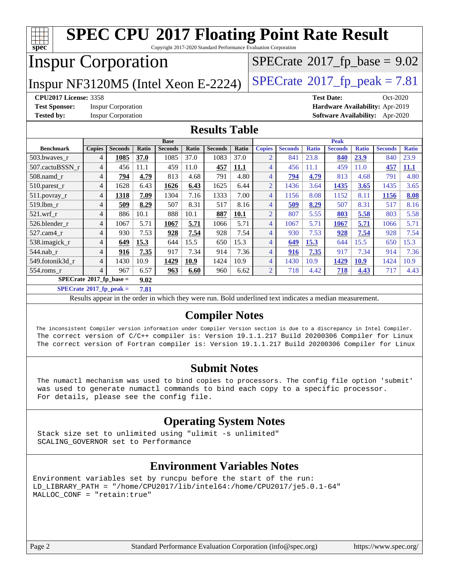| <b>SPEC CPU®2017 Floating Point Rate Result</b><br>spec<br>Copyright 2017-2020 Standard Performance Evaluation Corporation |                         |                |       |                |       |                |       |                |                                 |              |                |              |                |              |
|----------------------------------------------------------------------------------------------------------------------------|-------------------------|----------------|-------|----------------|-------|----------------|-------|----------------|---------------------------------|--------------|----------------|--------------|----------------|--------------|
| <b>Inspur Corporation</b>                                                                                                  |                         |                |       |                |       |                |       |                | $SPECTate@2017_fp\_base = 9.02$ |              |                |              |                |              |
| $SPECTate@2017fr peak = 7.81$<br>Inspur NF3120M5 (Intel Xeon E-2224)                                                       |                         |                |       |                |       |                |       |                |                                 |              |                |              |                |              |
| <b>CPU2017 License: 3358</b><br>Oct-2020<br><b>Test Date:</b>                                                              |                         |                |       |                |       |                |       |                |                                 |              |                |              |                |              |
| <b>Test Sponsor:</b><br><b>Inspur Corporation</b><br>Hardware Availability: Apr-2019                                       |                         |                |       |                |       |                |       |                |                                 |              |                |              |                |              |
| <b>Tested by:</b><br><b>Inspur Corporation</b><br>Software Availability: Apr-2020                                          |                         |                |       |                |       |                |       |                |                                 |              |                |              |                |              |
| <b>Results Table</b>                                                                                                       |                         |                |       |                |       |                |       |                |                                 |              |                |              |                |              |
|                                                                                                                            |                         |                |       | <b>Base</b>    |       |                |       |                |                                 |              | <b>Peak</b>    |              |                |              |
| <b>Benchmark</b>                                                                                                           | <b>Copies</b>           | <b>Seconds</b> | Ratio | <b>Seconds</b> | Ratio | <b>Seconds</b> | Ratio | <b>Copies</b>  | <b>Seconds</b>                  | <b>Ratio</b> | <b>Seconds</b> | <b>Ratio</b> | <b>Seconds</b> | <b>Ratio</b> |
| 503.bwaves_r                                                                                                               | 4                       | 1085           | 37.0  | 1085           | 37.0  | 1083           | 37.0  | $\overline{2}$ | 841                             | 23.8         | 840            | 23.9         | 840            | 23.9         |
| 507.cactuBSSN r                                                                                                            | $\overline{4}$          | 456            | 11.1  | 459            | 11.0  | 457            | 11.1  | $\overline{4}$ | 456                             | 11.1         | 459            | 11.0         | 457            | <b>11.1</b>  |
| 508.namd_r                                                                                                                 | $\overline{4}$          | 794            | 4.79  | 813            | 4.68  | 791            | 4.80  | $\overline{4}$ | 794                             | 4.79         | 813            | 4.68         | 791            | 4.80         |
| $510.parest_r$                                                                                                             | $\overline{4}$          | 1628           | 6.43  | 1626           | 6.43  | 1625           | 6.44  | $\overline{2}$ | 1436                            | 3.64         | 1435           | 3.65         | 1435           | 3.65         |
| $511.$ povray_r                                                                                                            | 4                       | 1318           | 7.09  | 1304           | 7.16  | 1333           | 7.00  | $\overline{4}$ | 1156                            | 8.08         | 1152           | 8.11         | <b>1156</b>    | 8.08         |
| 519.lbm r                                                                                                                  | $\overline{\mathbf{4}}$ | 509            | 8.29  | 507            | 8.31  | 517            | 8.16  | $\overline{4}$ | 509                             | 8.29         | 507            | 8.31         | 517            | 8.16         |
| 521.wrf r                                                                                                                  | $\overline{4}$          | 886            | 10.1  | 888            | 10.1  | 887            | 10.1  | $\overline{2}$ | 807                             | 5.55         | 803            | 5.58         | 803            | 5.58         |
| 526.blender r                                                                                                              | $\overline{4}$          | 1067           | 5.71  | 1067           | 5.71  | 1066           | 5.71  | $\overline{4}$ | 1067                            | 5.71         | 1067           | 5.71         | 1066           | 5.71         |
| 527.cam4 r                                                                                                                 | 4                       | 930            | 7.53  | 928            | 7.54  | 928            | 7.54  | $\overline{4}$ | 930                             | 7.53         | 928            | 7.54         | 928            | 7.54         |
| 538.imagick_r                                                                                                              | $\overline{4}$          | 649            | 15.3  | 644            | 15.5  | 650            | 15.3  | $\overline{4}$ | 649                             | 15.3         | 644            | 15.5         | 650            | 15.3         |
| $544$ .nab r                                                                                                               | $\overline{4}$          | 916            | 7.35  | 917            | 7.34  | 914            | 7.36  | 4              | 916                             | 7.35         | 917            | 7.34         | 914            | 7.36         |
| 549.fotonik3d r                                                                                                            | $\overline{4}$          | 1430           | 10.9  | 1429           | 10.9  | 1424           | 10.9  | $\overline{4}$ | 1430                            | 10.9         | 1429           | 10.9         | 1424           | 10.9         |
| 554.roms r                                                                                                                 | 4                       | 967            | 6.57  | 963            | 6.60  | 960            | 6.62  | $\overline{2}$ | 718                             | 4.42         | 718            | 4.43         | 717            | 4.43         |
| $SPECrate*2017_fp\_base =$<br>9.02                                                                                         |                         |                |       |                |       |                |       |                |                                 |              |                |              |                |              |
| $SPECrate^{\circ}2017$ fp peak =                                                                                           |                         |                | 7.81  |                |       |                |       |                |                                 |              |                |              |                |              |

Results appear in the [order in which they were run.](http://www.spec.org/auto/cpu2017/Docs/result-fields.html#RunOrder) Bold underlined text [indicates a median measurement.](http://www.spec.org/auto/cpu2017/Docs/result-fields.html#Median)

#### **[Compiler Notes](http://www.spec.org/auto/cpu2017/Docs/result-fields.html#CompilerNotes)**

 The inconsistent Compiler version information under Compiler Version section is due to a discrepancy in Intel Compiler. The correct version of C/C++ compiler is: Version 19.1.1.217 Build 20200306 Compiler for Linux The correct version of Fortran compiler is: Version 19.1.1.217 Build 20200306 Compiler for Linux

#### **[Submit Notes](http://www.spec.org/auto/cpu2017/Docs/result-fields.html#SubmitNotes)**

 The numactl mechanism was used to bind copies to processors. The config file option 'submit' was used to generate numactl commands to bind each copy to a specific processor. For details, please see the config file.

#### **[Operating System Notes](http://www.spec.org/auto/cpu2017/Docs/result-fields.html#OperatingSystemNotes)**

 Stack size set to unlimited using "ulimit -s unlimited" SCALING\_GOVERNOR set to Performance

#### **[Environment Variables Notes](http://www.spec.org/auto/cpu2017/Docs/result-fields.html#EnvironmentVariablesNotes)**

Environment variables set by runcpu before the start of the run: LD\_LIBRARY\_PATH = "/home/CPU2017/lib/intel64:/home/CPU2017/je5.0.1-64" MALLOC\_CONF = "retain:true"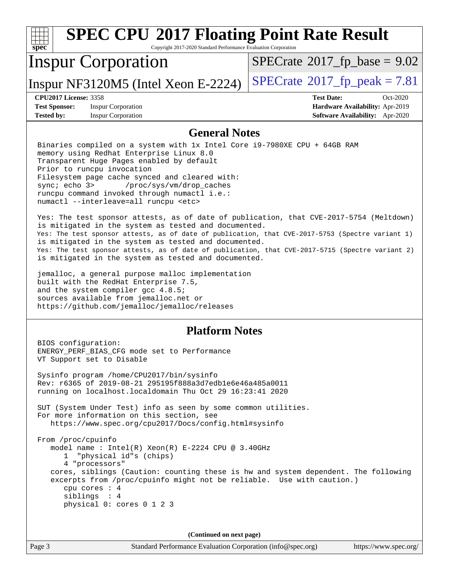| <b>SPEC CPU®2017 Floating Point Rate Result</b><br>spec<br>Copyright 2017-2020 Standard Performance Evaluation Corporation                                                                                                                                                                                                                                                                                                                                                                                                                                                                                                                                                                                                                                                                                                                                                                                                                                                                                                                                                                                          |                                                                                                            |
|---------------------------------------------------------------------------------------------------------------------------------------------------------------------------------------------------------------------------------------------------------------------------------------------------------------------------------------------------------------------------------------------------------------------------------------------------------------------------------------------------------------------------------------------------------------------------------------------------------------------------------------------------------------------------------------------------------------------------------------------------------------------------------------------------------------------------------------------------------------------------------------------------------------------------------------------------------------------------------------------------------------------------------------------------------------------------------------------------------------------|------------------------------------------------------------------------------------------------------------|
| <b>Inspur Corporation</b>                                                                                                                                                                                                                                                                                                                                                                                                                                                                                                                                                                                                                                                                                                                                                                                                                                                                                                                                                                                                                                                                                           | $SPECrate^{\circ}2017$ _fp_base = 9.02                                                                     |
| Inspur NF3120M5 (Intel Xeon E-2224)                                                                                                                                                                                                                                                                                                                                                                                                                                                                                                                                                                                                                                                                                                                                                                                                                                                                                                                                                                                                                                                                                 | $SPECTate$ <sup>®</sup> 2017_fp_peak = 7.81                                                                |
| <b>CPU2017 License: 3358</b><br><b>Test Sponsor:</b><br><b>Inspur Corporation</b><br><b>Tested by:</b><br><b>Inspur Corporation</b>                                                                                                                                                                                                                                                                                                                                                                                                                                                                                                                                                                                                                                                                                                                                                                                                                                                                                                                                                                                 | <b>Test Date:</b><br>Oct-2020<br>Hardware Availability: Apr-2019<br><b>Software Availability:</b> Apr-2020 |
| <b>General Notes</b>                                                                                                                                                                                                                                                                                                                                                                                                                                                                                                                                                                                                                                                                                                                                                                                                                                                                                                                                                                                                                                                                                                |                                                                                                            |
| Binaries compiled on a system with 1x Intel Core i9-7980XE CPU + 64GB RAM<br>memory using Redhat Enterprise Linux 8.0<br>Transparent Huge Pages enabled by default<br>Prior to runcpu invocation<br>Filesystem page cache synced and cleared with:<br>sync; echo 3><br>/proc/sys/vm/drop_caches<br>runcpu command invoked through numactl i.e.:<br>numactl --interleave=all runcpu <etc><br/>Yes: The test sponsor attests, as of date of publication, that CVE-2017-5754 (Meltdown)<br/>is mitigated in the system as tested and documented.<br/>Yes: The test sponsor attests, as of date of publication, that CVE-2017-5753 (Spectre variant 1)<br/>is mitigated in the system as tested and documented.<br/>Yes: The test sponsor attests, as of date of publication, that CVE-2017-5715 (Spectre variant 2)<br/>is mitigated in the system as tested and documented.<br/>jemalloc, a general purpose malloc implementation<br/>built with the RedHat Enterprise 7.5,<br/>and the system compiler gcc 4.8.5;<br/>sources available from jemalloc.net or<br/>https://github.com/jemalloc/jemalloc/releases</etc> |                                                                                                            |
| <b>Platform Notes</b><br>BIOS configuration:                                                                                                                                                                                                                                                                                                                                                                                                                                                                                                                                                                                                                                                                                                                                                                                                                                                                                                                                                                                                                                                                        |                                                                                                            |
| ENERGY_PERF_BIAS_CFG mode set to Performance<br>VT Support set to Disable                                                                                                                                                                                                                                                                                                                                                                                                                                                                                                                                                                                                                                                                                                                                                                                                                                                                                                                                                                                                                                           |                                                                                                            |
| Sysinfo program /home/CPU2017/bin/sysinfo<br>Rev: r6365 of 2019-08-21 295195f888a3d7edble6e46a485a0011<br>running on localhost. localdomain Thu Oct 29 16:23:41 2020                                                                                                                                                                                                                                                                                                                                                                                                                                                                                                                                                                                                                                                                                                                                                                                                                                                                                                                                                |                                                                                                            |
| SUT (System Under Test) info as seen by some common utilities.<br>For more information on this section, see<br>https://www.spec.org/cpu2017/Docs/config.html#sysinfo                                                                                                                                                                                                                                                                                                                                                                                                                                                                                                                                                                                                                                                                                                                                                                                                                                                                                                                                                |                                                                                                            |
| From /proc/cpuinfo<br>model name : Intel(R) Xeon(R) E-2224 CPU @ 3.40GHz<br>"physical id"s (chips)<br>1<br>4 "processors"                                                                                                                                                                                                                                                                                                                                                                                                                                                                                                                                                                                                                                                                                                                                                                                                                                                                                                                                                                                           |                                                                                                            |
| cores, siblings (Caution: counting these is hw and system dependent. The following<br>excerpts from /proc/cpuinfo might not be reliable. Use with caution.)<br>cpu cores : 4<br>siblings : 4<br>physical 0: cores 0 1 2 3                                                                                                                                                                                                                                                                                                                                                                                                                                                                                                                                                                                                                                                                                                                                                                                                                                                                                           |                                                                                                            |
| (Continued on next page)                                                                                                                                                                                                                                                                                                                                                                                                                                                                                                                                                                                                                                                                                                                                                                                                                                                                                                                                                                                                                                                                                            |                                                                                                            |
| Page 3<br>Standard Performance Evaluation Corporation (info@spec.org)                                                                                                                                                                                                                                                                                                                                                                                                                                                                                                                                                                                                                                                                                                                                                                                                                                                                                                                                                                                                                                               | https://www.spec.org/                                                                                      |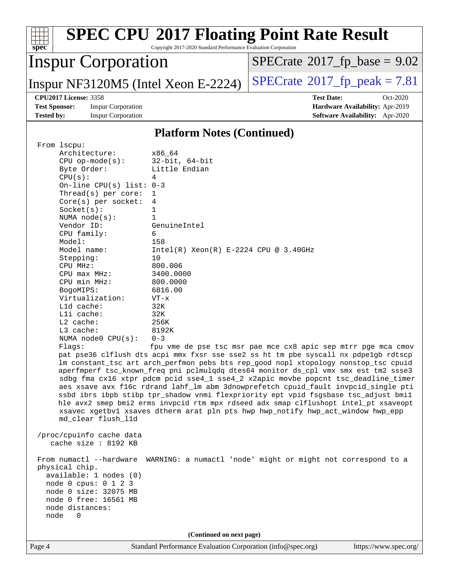| $spec^*$                                                                                                                                                                                                                                                                                                                                                                                                                                                                                                                                                                                                                                                                                                      | Copyright 2017-2020 Standard Performance Evaluation Corporation                                                                                                                                                                                            | <b>SPEC CPU®2017 Floating Point Rate Result</b>                                                                                                                                                                                                                                                                                                                                                                                                                                                                                                                                                                                                                                                                                                                                                                                                 |
|---------------------------------------------------------------------------------------------------------------------------------------------------------------------------------------------------------------------------------------------------------------------------------------------------------------------------------------------------------------------------------------------------------------------------------------------------------------------------------------------------------------------------------------------------------------------------------------------------------------------------------------------------------------------------------------------------------------|------------------------------------------------------------------------------------------------------------------------------------------------------------------------------------------------------------------------------------------------------------|-------------------------------------------------------------------------------------------------------------------------------------------------------------------------------------------------------------------------------------------------------------------------------------------------------------------------------------------------------------------------------------------------------------------------------------------------------------------------------------------------------------------------------------------------------------------------------------------------------------------------------------------------------------------------------------------------------------------------------------------------------------------------------------------------------------------------------------------------|
| <b>Inspur Corporation</b>                                                                                                                                                                                                                                                                                                                                                                                                                                                                                                                                                                                                                                                                                     |                                                                                                                                                                                                                                                            | $SPECrate^{\circ}2017$ _fp_base = 9.02                                                                                                                                                                                                                                                                                                                                                                                                                                                                                                                                                                                                                                                                                                                                                                                                          |
| Inspur NF3120M5 (Intel Xeon E-2224)                                                                                                                                                                                                                                                                                                                                                                                                                                                                                                                                                                                                                                                                           |                                                                                                                                                                                                                                                            | $SPECrate^{\circ}2017$ _fp_peak = 7.81                                                                                                                                                                                                                                                                                                                                                                                                                                                                                                                                                                                                                                                                                                                                                                                                          |
| <b>CPU2017 License: 3358</b><br><b>Test Sponsor:</b><br><b>Inspur Corporation</b><br><b>Tested by:</b><br><b>Inspur Corporation</b>                                                                                                                                                                                                                                                                                                                                                                                                                                                                                                                                                                           |                                                                                                                                                                                                                                                            | <b>Test Date:</b><br>Oct-2020<br>Hardware Availability: Apr-2019<br>Software Availability: Apr-2020                                                                                                                                                                                                                                                                                                                                                                                                                                                                                                                                                                                                                                                                                                                                             |
|                                                                                                                                                                                                                                                                                                                                                                                                                                                                                                                                                                                                                                                                                                               | <b>Platform Notes (Continued)</b>                                                                                                                                                                                                                          |                                                                                                                                                                                                                                                                                                                                                                                                                                                                                                                                                                                                                                                                                                                                                                                                                                                 |
| From lscpu:<br>Architecture:<br>$CPU$ op-mode( $s$ ):<br>Byte Order:<br>CPU(s):<br>On-line CPU(s) list: $0-3$<br>Thread( $s$ ) per core:<br>$Core(s)$ per socket:<br>Socket(s):<br>NUMA $node(s):$<br>Vendor ID:<br>CPU family:<br>Model:<br>Model name:<br>Stepping:<br>CPU MHz:<br>$CPU$ max $MHz:$<br>CPU min MHz:<br>BogoMIPS:<br>Virtualization:<br>L1d cache:<br>Lli cache:<br>L2 cache:<br>L3 cache:<br>NUMA node0 CPU(s):<br>Flagg:<br>md_clear flush_l1d<br>/proc/cpuinfo cache data<br>cache size : 8192 KB<br>From numactl --hardware<br>physical chip.<br>available: 1 nodes (0)<br>node 0 cpus: 0 1 2 3<br>node 0 size: 32075 MB<br>node 0 free: 16561 MB<br>node distances:<br>node<br>$\Omega$ | x86_64<br>$32$ -bit, $64$ -bit<br>Little Endian<br>4<br>1<br>4<br>1<br>1<br>GenuineIntel<br>6<br>158<br>$Intel(R) Xeon(R) E-2224 CPU @ 3.40GHz$<br>10<br>800.006<br>3400.0000<br>800.0000<br>6816.00<br>$VT - x$<br>32K<br>32K<br>256K<br>8192K<br>$0 - 3$ | fpu vme de pse tsc msr pae mce cx8 apic sep mtrr pge mca cmov<br>pat pse36 clflush dts acpi mmx fxsr sse sse2 ss ht tm pbe syscall nx pdpelgb rdtscp<br>lm constant_tsc art arch_perfmon pebs bts rep_good nopl xtopology nonstop_tsc cpuid<br>aperfmperf tsc_known_freq pni pclmulqdq dtes64 monitor ds_cpl vmx smx est tm2 ssse3<br>sdbg fma cx16 xtpr pdcm pcid sse4_1 sse4_2 x2apic movbe popcnt tsc_deadline_timer<br>aes xsave avx f16c rdrand lahf_lm abm 3dnowprefetch cpuid_fault invpcid_single pti<br>ssbd ibrs ibpb stibp tpr_shadow vnmi flexpriority ept vpid fsgsbase tsc_adjust bmil<br>hle avx2 smep bmi2 erms invpcid rtm mpx rdseed adx smap clflushopt intel_pt xsaveopt<br>xsavec xgetbvl xsaves dtherm arat pln pts hwp hwp_notify hwp_act_window hwp_epp<br>WARNING: a numactl 'node' might or might not correspond to a |
|                                                                                                                                                                                                                                                                                                                                                                                                                                                                                                                                                                                                                                                                                                               | (Continued on next page)                                                                                                                                                                                                                                   |                                                                                                                                                                                                                                                                                                                                                                                                                                                                                                                                                                                                                                                                                                                                                                                                                                                 |
| Page 4                                                                                                                                                                                                                                                                                                                                                                                                                                                                                                                                                                                                                                                                                                        | Standard Performance Evaluation Corporation (info@spec.org)                                                                                                                                                                                                | https://www.spec.org/                                                                                                                                                                                                                                                                                                                                                                                                                                                                                                                                                                                                                                                                                                                                                                                                                           |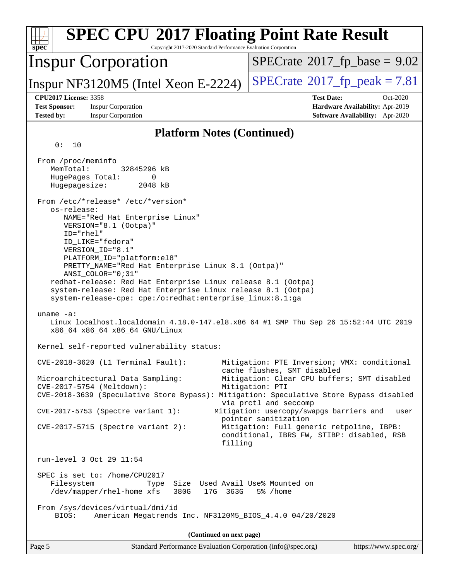| <b>SPEC CPU®2017 Floating Point Rate Result</b><br>$spec^*$<br>Copyright 2017-2020 Standard Performance Evaluation Corporation                                                                                                                                                                                                                                                                                                                                           |                                                                                                                 |  |  |  |  |  |
|--------------------------------------------------------------------------------------------------------------------------------------------------------------------------------------------------------------------------------------------------------------------------------------------------------------------------------------------------------------------------------------------------------------------------------------------------------------------------|-----------------------------------------------------------------------------------------------------------------|--|--|--|--|--|
| <b>Inspur Corporation</b>                                                                                                                                                                                                                                                                                                                                                                                                                                                | $SPECrate^{\circ}2017_fp\_base = 9.02$                                                                          |  |  |  |  |  |
| Inspur NF3120M5 (Intel Xeon E-2224)                                                                                                                                                                                                                                                                                                                                                                                                                                      | $SPECTate$ <sup>®</sup> 2017_fp_peak = 7.81                                                                     |  |  |  |  |  |
| <b>CPU2017 License: 3358</b><br><b>Test Sponsor:</b><br><b>Inspur Corporation</b><br><b>Tested by:</b><br><b>Inspur Corporation</b>                                                                                                                                                                                                                                                                                                                                      | <b>Test Date:</b><br>$Oct-2020$<br>Hardware Availability: Apr-2019<br><b>Software Availability:</b> Apr-2020    |  |  |  |  |  |
| <b>Platform Notes (Continued)</b>                                                                                                                                                                                                                                                                                                                                                                                                                                        |                                                                                                                 |  |  |  |  |  |
| 0:<br>10                                                                                                                                                                                                                                                                                                                                                                                                                                                                 |                                                                                                                 |  |  |  |  |  |
| From /proc/meminfo<br>MemTotal:<br>32845296 kB<br>HugePages_Total:<br>0<br>Hugepagesize:<br>2048 kB                                                                                                                                                                                                                                                                                                                                                                      |                                                                                                                 |  |  |  |  |  |
| From /etc/*release* /etc/*version*<br>os-release:<br>NAME="Red Hat Enterprise Linux"<br>VERSION="8.1 (Ootpa)"<br>ID="rhel"<br>ID LIKE="fedora"<br>VERSION_ID="8.1"<br>PLATFORM_ID="platform:el8"<br>PRETTY_NAME="Red Hat Enterprise Linux 8.1 (Ootpa)"<br>ANSI_COLOR="0;31"<br>redhat-release: Red Hat Enterprise Linux release 8.1 (Ootpa)<br>system-release: Red Hat Enterprise Linux release 8.1 (Ootpa)<br>system-release-cpe: cpe:/o:redhat:enterprise_linux:8.1:ga |                                                                                                                 |  |  |  |  |  |
| uname $-a$ :<br>Linux localhost.localdomain 4.18.0-147.el8.x86_64 #1 SMP Thu Sep 26 15:52:44 UTC 2019<br>x86_64 x86_64 x86_64 GNU/Linux                                                                                                                                                                                                                                                                                                                                  |                                                                                                                 |  |  |  |  |  |
| Kernel self-reported vulnerability status:                                                                                                                                                                                                                                                                                                                                                                                                                               |                                                                                                                 |  |  |  |  |  |
| CVE-2018-3620 (L1 Terminal Fault):<br>Mitigation: PTE Inversion; VMX: conditional<br>cache flushes, SMT disabled<br>Mitigation: Clear CPU buffers; SMT disabled<br>Microarchitectural Data Sampling:<br>CVE-2017-5754 (Meltdown):<br>Mitigation: PTI<br>CVE-2018-3639 (Speculative Store Bypass): Mitigation: Speculative Store Bypass disabled<br>via prctl and seccomp<br>Mitigation: usercopy/swapgs barriers and __user<br>CVE-2017-5753 (Spectre variant 1):        |                                                                                                                 |  |  |  |  |  |
| $CVE-2017-5715$ (Spectre variant 2):<br>filling                                                                                                                                                                                                                                                                                                                                                                                                                          | pointer sanitization<br>Mitigation: Full generic retpoline, IBPB:<br>conditional, IBRS_FW, STIBP: disabled, RSB |  |  |  |  |  |
| run-level 3 Oct 29 11:54                                                                                                                                                                                                                                                                                                                                                                                                                                                 |                                                                                                                 |  |  |  |  |  |
| SPEC is set to: /home/CPU2017<br>Size Used Avail Use% Mounted on<br>Filesystem<br>Type<br>/dev/mapper/rhel-home xfs<br>380G<br>17G 363G<br>5% /home                                                                                                                                                                                                                                                                                                                      |                                                                                                                 |  |  |  |  |  |
| From /sys/devices/virtual/dmi/id<br>American Megatrends Inc. NF3120M5_BIOS_4.4.0 04/20/2020<br>BIOS:                                                                                                                                                                                                                                                                                                                                                                     |                                                                                                                 |  |  |  |  |  |
| (Continued on next page)                                                                                                                                                                                                                                                                                                                                                                                                                                                 |                                                                                                                 |  |  |  |  |  |
| Page 5<br>Standard Performance Evaluation Corporation (info@spec.org)                                                                                                                                                                                                                                                                                                                                                                                                    | https://www.spec.org/                                                                                           |  |  |  |  |  |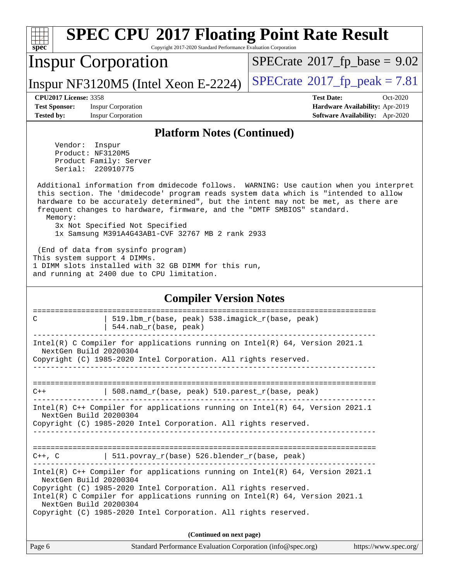| <b>SPEC CPU®2017 Floating Point Rate Result</b><br>spec<br>Copyright 2017-2020 Standard Performance Evaluation Corporation                                                                                                                                                                                                                                                                                                                      |                                                                                                            |  |  |  |  |
|-------------------------------------------------------------------------------------------------------------------------------------------------------------------------------------------------------------------------------------------------------------------------------------------------------------------------------------------------------------------------------------------------------------------------------------------------|------------------------------------------------------------------------------------------------------------|--|--|--|--|
| <b>Inspur Corporation</b>                                                                                                                                                                                                                                                                                                                                                                                                                       | $SPECrate^{\circ}2017$ _fp_base = 9.02                                                                     |  |  |  |  |
| Inspur NF3120M5 (Intel Xeon E-2224)                                                                                                                                                                                                                                                                                                                                                                                                             | $SPECTate$ <sup>®</sup> 2017_fp_peak = 7.81                                                                |  |  |  |  |
| <b>CPU2017 License: 3358</b><br><b>Test Sponsor:</b><br><b>Inspur Corporation</b><br><b>Tested by:</b><br><b>Inspur Corporation</b>                                                                                                                                                                                                                                                                                                             | <b>Test Date:</b><br>Oct-2020<br>Hardware Availability: Apr-2019<br><b>Software Availability:</b> Apr-2020 |  |  |  |  |
| <b>Platform Notes (Continued)</b>                                                                                                                                                                                                                                                                                                                                                                                                               |                                                                                                            |  |  |  |  |
| Vendor: Inspur<br>Product: NF3120M5<br>Product Family: Server<br>Serial:<br>220910775                                                                                                                                                                                                                                                                                                                                                           |                                                                                                            |  |  |  |  |
| Additional information from dmidecode follows. WARNING: Use caution when you interpret<br>this section. The 'dmidecode' program reads system data which is "intended to allow<br>hardware to be accurately determined", but the intent may not be met, as there are<br>frequent changes to hardware, firmware, and the "DMTF SMBIOS" standard.<br>Memory:<br>3x Not Specified Not Specified<br>1x Samsung M391A4G43AB1-CVF 32767 MB 2 rank 2933 |                                                                                                            |  |  |  |  |
| (End of data from sysinfo program)<br>This system support 4 DIMMs.<br>1 DIMM slots installed with 32 GB DIMM for this run,<br>and running at 2400 due to CPU limitation.                                                                                                                                                                                                                                                                        |                                                                                                            |  |  |  |  |
| <b>Compiler Version Notes</b>                                                                                                                                                                                                                                                                                                                                                                                                                   |                                                                                                            |  |  |  |  |
| ====================<br>519.1bm_r(base, peak) 538.imagick_r(base, peak)<br>C<br>544.nab_r(base, peak)                                                                                                                                                                                                                                                                                                                                           |                                                                                                            |  |  |  |  |
| Intel(R) C Compiler for applications running on Intel(R) 64, Version 2021.1<br>NextGen Build 20200304<br>Copyright (C) 1985-2020 Intel Corporation. All rights reserved.                                                                                                                                                                                                                                                                        |                                                                                                            |  |  |  |  |
| 508.namd_r(base, peak) 510.parest_r(base, peak)<br>$C++$<br>Intel(R) $C++$ Compiler for applications running on Intel(R) 64, Version 2021.1                                                                                                                                                                                                                                                                                                     |                                                                                                            |  |  |  |  |
| NextGen Build 20200304<br>Copyright (C) 1985-2020 Intel Corporation. All rights reserved.                                                                                                                                                                                                                                                                                                                                                       |                                                                                                            |  |  |  |  |
| $C++$ , C $\qquad$   511.povray_r(base) 526.blender_r(base, peak)<br>-------------------                                                                                                                                                                                                                                                                                                                                                        |                                                                                                            |  |  |  |  |
| Intel(R) $C++$ Compiler for applications running on Intel(R) 64, Version 2021.1<br>NextGen Build 20200304<br>Copyright (C) 1985-2020 Intel Corporation. All rights reserved.<br>Intel(R) C Compiler for applications running on $Intel(R) 64$ , Version 2021.1<br>NextGen Build 20200304<br>Copyright (C) 1985-2020 Intel Corporation. All rights reserved.                                                                                     |                                                                                                            |  |  |  |  |
| (Continued on next page)                                                                                                                                                                                                                                                                                                                                                                                                                        |                                                                                                            |  |  |  |  |
| Standard Performance Evaluation Corporation (info@spec.org)<br>Page 6                                                                                                                                                                                                                                                                                                                                                                           | https://www.spec.org/                                                                                      |  |  |  |  |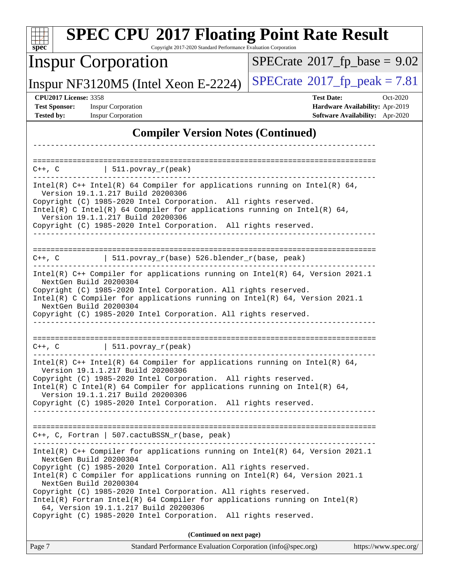| <b>SPEC CPU®2017 Floating Point Rate Result</b><br>Copyright 2017-2020 Standard Performance Evaluation Corporation<br>$spec^*$                                                                                                                                                                                                                                                                                                                                                                                                                          |                                                                                                            |  |  |  |  |  |
|---------------------------------------------------------------------------------------------------------------------------------------------------------------------------------------------------------------------------------------------------------------------------------------------------------------------------------------------------------------------------------------------------------------------------------------------------------------------------------------------------------------------------------------------------------|------------------------------------------------------------------------------------------------------------|--|--|--|--|--|
| <b>Inspur Corporation</b>                                                                                                                                                                                                                                                                                                                                                                                                                                                                                                                               | $SPECTate@2017_fp\_base = 9.02$                                                                            |  |  |  |  |  |
| Inspur NF3120M5 (Intel Xeon E-2224)                                                                                                                                                                                                                                                                                                                                                                                                                                                                                                                     | $SPECTate@2017fr peak = 7.81$                                                                              |  |  |  |  |  |
| <b>CPU2017 License: 3358</b><br><b>Test Sponsor:</b><br><b>Inspur Corporation</b><br><b>Tested by:</b><br><b>Inspur Corporation</b>                                                                                                                                                                                                                                                                                                                                                                                                                     | <b>Test Date:</b><br>Oct-2020<br>Hardware Availability: Apr-2019<br><b>Software Availability:</b> Apr-2020 |  |  |  |  |  |
| <b>Compiler Version Notes (Continued)</b>                                                                                                                                                                                                                                                                                                                                                                                                                                                                                                               |                                                                                                            |  |  |  |  |  |
| ==================================                                                                                                                                                                                                                                                                                                                                                                                                                                                                                                                      |                                                                                                            |  |  |  |  |  |
| $\vert$ 511.povray_r(peak)<br>$C++$ , $C$                                                                                                                                                                                                                                                                                                                                                                                                                                                                                                               |                                                                                                            |  |  |  |  |  |
| Intel(R) C++ Intel(R) 64 Compiler for applications running on Intel(R) 64,<br>Version 19.1.1.217 Build 20200306<br>Copyright (C) 1985-2020 Intel Corporation. All rights reserved.<br>Intel(R) C Intel(R) 64 Compiler for applications running on Intel(R) 64,<br>Version 19.1.1.217 Build 20200306<br>Copyright (C) 1985-2020 Intel Corporation. All rights reserved.                                                                                                                                                                                  |                                                                                                            |  |  |  |  |  |
| 511.povray_r(base) 526.blender_r(base, peak)<br>$C++$ , $C$                                                                                                                                                                                                                                                                                                                                                                                                                                                                                             |                                                                                                            |  |  |  |  |  |
| Intel(R) C++ Compiler for applications running on Intel(R) 64, Version 2021.1<br>NextGen Build 20200304<br>Copyright (C) 1985-2020 Intel Corporation. All rights reserved.<br>Intel(R) C Compiler for applications running on Intel(R) 64, Version 2021.1<br>NextGen Build 20200304<br>Copyright (C) 1985-2020 Intel Corporation. All rights reserved.                                                                                                                                                                                                  |                                                                                                            |  |  |  |  |  |
| 511.povray_r(peak)<br>$C++$ , $C$                                                                                                                                                                                                                                                                                                                                                                                                                                                                                                                       |                                                                                                            |  |  |  |  |  |
| Intel(R) $C++$ Intel(R) 64 Compiler for applications running on Intel(R) 64,<br>Version 19.1.1.217 Build 20200306<br>Copyright (C) 1985-2020 Intel Corporation. All rights reserved.<br>Intel(R) C Intel(R) 64 Compiler for applications running on Intel(R) 64,<br>Version 19.1.1.217 Build 20200306<br>Copyright (C) 1985-2020 Intel Corporation. All rights reserved.                                                                                                                                                                                |                                                                                                            |  |  |  |  |  |
| C++, C, Fortran   507.cactuBSSN_r(base, peak)                                                                                                                                                                                                                                                                                                                                                                                                                                                                                                           |                                                                                                            |  |  |  |  |  |
| Intel(R) $C++$ Compiler for applications running on Intel(R) 64, Version 2021.1<br>NextGen Build 20200304<br>Copyright (C) 1985-2020 Intel Corporation. All rights reserved.<br>Intel(R) C Compiler for applications running on Intel(R) $64$ , Version 2021.1<br>NextGen Build 20200304<br>Copyright (C) 1985-2020 Intel Corporation. All rights reserved.<br>$Intel(R)$ Fortran Intel(R) 64 Compiler for applications running on Intel(R)<br>64, Version 19.1.1.217 Build 20200306<br>Copyright (C) 1985-2020 Intel Corporation. All rights reserved. |                                                                                                            |  |  |  |  |  |
| (Continued on next page)                                                                                                                                                                                                                                                                                                                                                                                                                                                                                                                                |                                                                                                            |  |  |  |  |  |
| Page 7<br>Standard Performance Evaluation Corporation (info@spec.org)                                                                                                                                                                                                                                                                                                                                                                                                                                                                                   | https://www.spec.org/                                                                                      |  |  |  |  |  |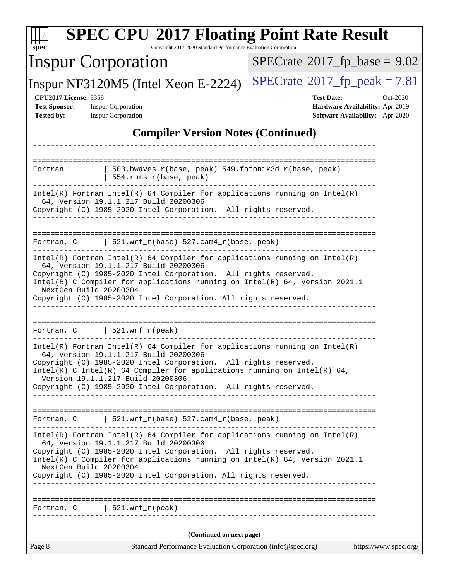| <b>SPEC CPU®2017 Floating Point Rate Result</b><br>Copyright 2017-2020 Standard Performance Evaluation Corporation<br>$spec^*$                                                                                                                                             |                                        |  |  |  |  |
|----------------------------------------------------------------------------------------------------------------------------------------------------------------------------------------------------------------------------------------------------------------------------|----------------------------------------|--|--|--|--|
| <b>Inspur Corporation</b>                                                                                                                                                                                                                                                  | $SPECrate^{\circ}2017$ _fp_base = 9.02 |  |  |  |  |
| Inspur NF3120M5 (Intel Xeon E-2224)                                                                                                                                                                                                                                        | $SPECrate@2017_fp\_peak = 7.81$        |  |  |  |  |
| <b>CPU2017 License: 3358</b><br>Oct-2020<br><b>Test Date:</b><br><b>Test Sponsor:</b><br><b>Inspur Corporation</b><br>Hardware Availability: Apr-2019<br><b>Inspur Corporation</b><br>Software Availability: Apr-2020<br><b>Tested by:</b>                                 |                                        |  |  |  |  |
| <b>Compiler Version Notes (Continued)</b>                                                                                                                                                                                                                                  |                                        |  |  |  |  |
|                                                                                                                                                                                                                                                                            |                                        |  |  |  |  |
| $503.bwaves_r(base, peak)$ 549.fotonik3d_r(base, peak)<br>Fortran<br>554.roms_r(base, peak)                                                                                                                                                                                |                                        |  |  |  |  |
| $Intel(R)$ Fortran Intel(R) 64 Compiler for applications running on Intel(R)<br>64, Version 19.1.1.217 Build 20200306<br>Copyright (C) 1985-2020 Intel Corporation. All rights reserved.                                                                                   |                                        |  |  |  |  |
| 521.wrf_r(base) 527.cam4_r(base, peak)<br>Fortran, C                                                                                                                                                                                                                       |                                        |  |  |  |  |
| $Intel(R)$ Fortran Intel(R) 64 Compiler for applications running on Intel(R)<br>64, Version 19.1.1.217 Build 20200306                                                                                                                                                      |                                        |  |  |  |  |
| Copyright (C) 1985-2020 Intel Corporation. All rights reserved.<br>Intel(R) C Compiler for applications running on Intel(R) 64, Version 2021.1<br>NextGen Build 20200304<br>Copyright (C) 1985-2020 Intel Corporation. All rights reserved.                                |                                        |  |  |  |  |
| $\vert$ 521.wrf_r(peak)<br>Fortran, C                                                                                                                                                                                                                                      |                                        |  |  |  |  |
| Intel(R) Fortran Intel(R) 64 Compiler for applications running on Intel(R)<br>64, Version 19.1.1.217 Build 20200306                                                                                                                                                        |                                        |  |  |  |  |
| Copyright (C) 1985-2020 Intel Corporation. All rights reserved.<br>Intel(R) C Intel(R) 64 Compiler for applications running on Intel(R) 64,<br>Version 19.1.1.217 Build 20200306                                                                                           |                                        |  |  |  |  |
| Copyright (C) 1985-2020 Intel Corporation. All rights reserved.                                                                                                                                                                                                            |                                        |  |  |  |  |
| Fortran, C   521.wrf_r(base) $527.cam4_r(base, peak)$                                                                                                                                                                                                                      |                                        |  |  |  |  |
| $Intel(R)$ Fortran Intel(R) 64 Compiler for applications running on Intel(R)<br>64, Version 19.1.1.217 Build 20200306<br>Copyright (C) 1985-2020 Intel Corporation. All rights reserved.<br>Intel(R) C Compiler for applications running on $Intel(R) 64$ , Version 2021.1 |                                        |  |  |  |  |
| NextGen Build 20200304<br>Copyright (C) 1985-2020 Intel Corporation. All rights reserved.                                                                                                                                                                                  |                                        |  |  |  |  |
| Fortran, $C$   521.wrf_r(peak)                                                                                                                                                                                                                                             |                                        |  |  |  |  |
| (Continued on next page)                                                                                                                                                                                                                                                   |                                        |  |  |  |  |
| Page 8<br>Standard Performance Evaluation Corporation (info@spec.org)                                                                                                                                                                                                      | https://www.spec.org/                  |  |  |  |  |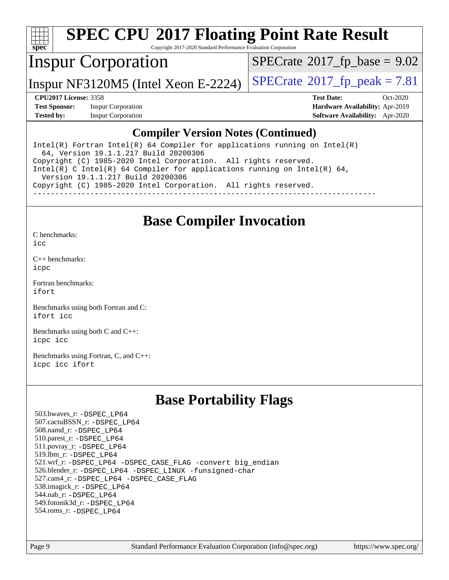

## **[SPEC CPU](http://www.spec.org/auto/cpu2017/Docs/result-fields.html#SPECCPU2017FloatingPointRateResult)[2017 Floating Point Rate Result](http://www.spec.org/auto/cpu2017/Docs/result-fields.html#SPECCPU2017FloatingPointRateResult)**

Copyright 2017-2020 Standard Performance Evaluation Corporation

### Inspur Corporation

 $SPECrate$ <sup>®</sup>[2017\\_fp\\_base =](http://www.spec.org/auto/cpu2017/Docs/result-fields.html#SPECrate2017fpbase) 9.02

Inspur NF3120M5 (Intel Xeon E-2224)  $\vert$  [SPECrate](http://www.spec.org/auto/cpu2017/Docs/result-fields.html#SPECrate2017fppeak)<sup>®</sup>[2017\\_fp\\_peak = 7](http://www.spec.org/auto/cpu2017/Docs/result-fields.html#SPECrate2017fppeak).81

**[Test Sponsor:](http://www.spec.org/auto/cpu2017/Docs/result-fields.html#TestSponsor)** Inspur Corporation **[Hardware Availability:](http://www.spec.org/auto/cpu2017/Docs/result-fields.html#HardwareAvailability)** Apr-2019

**[CPU2017 License:](http://www.spec.org/auto/cpu2017/Docs/result-fields.html#CPU2017License)** 3358 **[Test Date:](http://www.spec.org/auto/cpu2017/Docs/result-fields.html#TestDate)** Oct-2020 **[Tested by:](http://www.spec.org/auto/cpu2017/Docs/result-fields.html#Testedby)** Inspur Corporation **[Software Availability:](http://www.spec.org/auto/cpu2017/Docs/result-fields.html#SoftwareAvailability)** Apr-2020

#### **[Compiler Version Notes \(Continued\)](http://www.spec.org/auto/cpu2017/Docs/result-fields.html#CompilerVersionNotes)**

Intel(R) Fortran Intel(R)  $64$  Compiler for applications running on Intel(R) 64, Version 19.1.1.217 Build 20200306 Copyright (C) 1985-2020 Intel Corporation. All rights reserved. Intel(R) C Intel(R) 64 Compiler for applications running on Intel(R) 64, Version 19.1.1.217 Build 20200306 Copyright (C) 1985-2020 Intel Corporation. All rights reserved. ------------------------------------------------------------------------------

#### **[Base Compiler Invocation](http://www.spec.org/auto/cpu2017/Docs/result-fields.html#BaseCompilerInvocation)**

[C benchmarks](http://www.spec.org/auto/cpu2017/Docs/result-fields.html#Cbenchmarks):

[icc](http://www.spec.org/cpu2017/results/res2020q4/cpu2017-20201109-24379.flags.html#user_CCbase_intel_icc_66fc1ee009f7361af1fbd72ca7dcefbb700085f36577c54f309893dd4ec40d12360134090235512931783d35fd58c0460139e722d5067c5574d8eaf2b3e37e92)

[C++ benchmarks:](http://www.spec.org/auto/cpu2017/Docs/result-fields.html#CXXbenchmarks) [icpc](http://www.spec.org/cpu2017/results/res2020q4/cpu2017-20201109-24379.flags.html#user_CXXbase_intel_icpc_c510b6838c7f56d33e37e94d029a35b4a7bccf4766a728ee175e80a419847e808290a9b78be685c44ab727ea267ec2f070ec5dc83b407c0218cded6866a35d07)

[Fortran benchmarks](http://www.spec.org/auto/cpu2017/Docs/result-fields.html#Fortranbenchmarks): [ifort](http://www.spec.org/cpu2017/results/res2020q4/cpu2017-20201109-24379.flags.html#user_FCbase_intel_ifort_8111460550e3ca792625aed983ce982f94888b8b503583aa7ba2b8303487b4d8a21a13e7191a45c5fd58ff318f48f9492884d4413fa793fd88dd292cad7027ca)

[Benchmarks using both Fortran and C](http://www.spec.org/auto/cpu2017/Docs/result-fields.html#BenchmarksusingbothFortranandC): [ifort](http://www.spec.org/cpu2017/results/res2020q4/cpu2017-20201109-24379.flags.html#user_CC_FCbase_intel_ifort_8111460550e3ca792625aed983ce982f94888b8b503583aa7ba2b8303487b4d8a21a13e7191a45c5fd58ff318f48f9492884d4413fa793fd88dd292cad7027ca) [icc](http://www.spec.org/cpu2017/results/res2020q4/cpu2017-20201109-24379.flags.html#user_CC_FCbase_intel_icc_66fc1ee009f7361af1fbd72ca7dcefbb700085f36577c54f309893dd4ec40d12360134090235512931783d35fd58c0460139e722d5067c5574d8eaf2b3e37e92)

[Benchmarks using both C and C++](http://www.spec.org/auto/cpu2017/Docs/result-fields.html#BenchmarksusingbothCandCXX): [icpc](http://www.spec.org/cpu2017/results/res2020q4/cpu2017-20201109-24379.flags.html#user_CC_CXXbase_intel_icpc_c510b6838c7f56d33e37e94d029a35b4a7bccf4766a728ee175e80a419847e808290a9b78be685c44ab727ea267ec2f070ec5dc83b407c0218cded6866a35d07) [icc](http://www.spec.org/cpu2017/results/res2020q4/cpu2017-20201109-24379.flags.html#user_CC_CXXbase_intel_icc_66fc1ee009f7361af1fbd72ca7dcefbb700085f36577c54f309893dd4ec40d12360134090235512931783d35fd58c0460139e722d5067c5574d8eaf2b3e37e92)

[Benchmarks using Fortran, C, and C++:](http://www.spec.org/auto/cpu2017/Docs/result-fields.html#BenchmarksusingFortranCandCXX) [icpc](http://www.spec.org/cpu2017/results/res2020q4/cpu2017-20201109-24379.flags.html#user_CC_CXX_FCbase_intel_icpc_c510b6838c7f56d33e37e94d029a35b4a7bccf4766a728ee175e80a419847e808290a9b78be685c44ab727ea267ec2f070ec5dc83b407c0218cded6866a35d07) [icc](http://www.spec.org/cpu2017/results/res2020q4/cpu2017-20201109-24379.flags.html#user_CC_CXX_FCbase_intel_icc_66fc1ee009f7361af1fbd72ca7dcefbb700085f36577c54f309893dd4ec40d12360134090235512931783d35fd58c0460139e722d5067c5574d8eaf2b3e37e92) [ifort](http://www.spec.org/cpu2017/results/res2020q4/cpu2017-20201109-24379.flags.html#user_CC_CXX_FCbase_intel_ifort_8111460550e3ca792625aed983ce982f94888b8b503583aa7ba2b8303487b4d8a21a13e7191a45c5fd58ff318f48f9492884d4413fa793fd88dd292cad7027ca)

#### **[Base Portability Flags](http://www.spec.org/auto/cpu2017/Docs/result-fields.html#BasePortabilityFlags)**

 503.bwaves\_r: [-DSPEC\\_LP64](http://www.spec.org/cpu2017/results/res2020q4/cpu2017-20201109-24379.flags.html#suite_basePORTABILITY503_bwaves_r_DSPEC_LP64) 507.cactuBSSN\_r: [-DSPEC\\_LP64](http://www.spec.org/cpu2017/results/res2020q4/cpu2017-20201109-24379.flags.html#suite_basePORTABILITY507_cactuBSSN_r_DSPEC_LP64) 508.namd\_r: [-DSPEC\\_LP64](http://www.spec.org/cpu2017/results/res2020q4/cpu2017-20201109-24379.flags.html#suite_basePORTABILITY508_namd_r_DSPEC_LP64) 510.parest\_r: [-DSPEC\\_LP64](http://www.spec.org/cpu2017/results/res2020q4/cpu2017-20201109-24379.flags.html#suite_basePORTABILITY510_parest_r_DSPEC_LP64) 511.povray\_r: [-DSPEC\\_LP64](http://www.spec.org/cpu2017/results/res2020q4/cpu2017-20201109-24379.flags.html#suite_basePORTABILITY511_povray_r_DSPEC_LP64) 519.lbm\_r: [-DSPEC\\_LP64](http://www.spec.org/cpu2017/results/res2020q4/cpu2017-20201109-24379.flags.html#suite_basePORTABILITY519_lbm_r_DSPEC_LP64) 521.wrf\_r: [-DSPEC\\_LP64](http://www.spec.org/cpu2017/results/res2020q4/cpu2017-20201109-24379.flags.html#suite_basePORTABILITY521_wrf_r_DSPEC_LP64) [-DSPEC\\_CASE\\_FLAG](http://www.spec.org/cpu2017/results/res2020q4/cpu2017-20201109-24379.flags.html#b521.wrf_r_baseCPORTABILITY_DSPEC_CASE_FLAG) [-convert big\\_endian](http://www.spec.org/cpu2017/results/res2020q4/cpu2017-20201109-24379.flags.html#user_baseFPORTABILITY521_wrf_r_convert_big_endian_c3194028bc08c63ac5d04de18c48ce6d347e4e562e8892b8bdbdc0214820426deb8554edfa529a3fb25a586e65a3d812c835984020483e7e73212c4d31a38223) 526.blender\_r: [-DSPEC\\_LP64](http://www.spec.org/cpu2017/results/res2020q4/cpu2017-20201109-24379.flags.html#suite_basePORTABILITY526_blender_r_DSPEC_LP64) [-DSPEC\\_LINUX](http://www.spec.org/cpu2017/results/res2020q4/cpu2017-20201109-24379.flags.html#b526.blender_r_baseCPORTABILITY_DSPEC_LINUX) [-funsigned-char](http://www.spec.org/cpu2017/results/res2020q4/cpu2017-20201109-24379.flags.html#user_baseCPORTABILITY526_blender_r_force_uchar_40c60f00ab013830e2dd6774aeded3ff59883ba5a1fc5fc14077f794d777847726e2a5858cbc7672e36e1b067e7e5c1d9a74f7176df07886a243d7cc18edfe67) 527.cam4\_r: [-DSPEC\\_LP64](http://www.spec.org/cpu2017/results/res2020q4/cpu2017-20201109-24379.flags.html#suite_basePORTABILITY527_cam4_r_DSPEC_LP64) [-DSPEC\\_CASE\\_FLAG](http://www.spec.org/cpu2017/results/res2020q4/cpu2017-20201109-24379.flags.html#b527.cam4_r_baseCPORTABILITY_DSPEC_CASE_FLAG) 538.imagick\_r: [-DSPEC\\_LP64](http://www.spec.org/cpu2017/results/res2020q4/cpu2017-20201109-24379.flags.html#suite_basePORTABILITY538_imagick_r_DSPEC_LP64) 544.nab\_r: [-DSPEC\\_LP64](http://www.spec.org/cpu2017/results/res2020q4/cpu2017-20201109-24379.flags.html#suite_basePORTABILITY544_nab_r_DSPEC_LP64) 549.fotonik3d\_r: [-DSPEC\\_LP64](http://www.spec.org/cpu2017/results/res2020q4/cpu2017-20201109-24379.flags.html#suite_basePORTABILITY549_fotonik3d_r_DSPEC_LP64) 554.roms\_r: [-DSPEC\\_LP64](http://www.spec.org/cpu2017/results/res2020q4/cpu2017-20201109-24379.flags.html#suite_basePORTABILITY554_roms_r_DSPEC_LP64)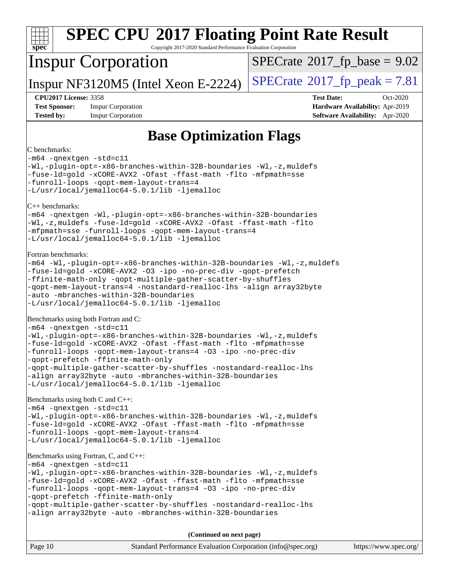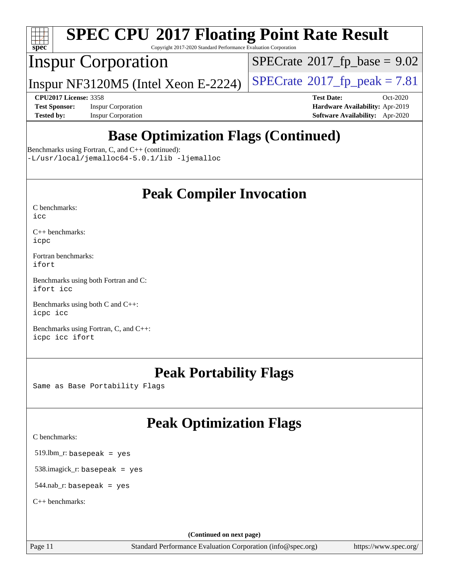![](_page_10_Picture_0.jpeg)

# **[SPEC CPU](http://www.spec.org/auto/cpu2017/Docs/result-fields.html#SPECCPU2017FloatingPointRateResult)[2017 Floating Point Rate Result](http://www.spec.org/auto/cpu2017/Docs/result-fields.html#SPECCPU2017FloatingPointRateResult)**

Copyright 2017-2020 Standard Performance Evaluation Corporation

### Inspur Corporation

 $SPECrate$ <sup>®</sup>[2017\\_fp\\_base =](http://www.spec.org/auto/cpu2017/Docs/result-fields.html#SPECrate2017fpbase) 9.02

Inspur NF3120M5 (Intel Xeon E-2224)  $\vert$  [SPECrate](http://www.spec.org/auto/cpu2017/Docs/result-fields.html#SPECrate2017fppeak)<sup>®</sup>[2017\\_fp\\_peak = 7](http://www.spec.org/auto/cpu2017/Docs/result-fields.html#SPECrate2017fppeak).81

**[Test Sponsor:](http://www.spec.org/auto/cpu2017/Docs/result-fields.html#TestSponsor)** Inspur Corporation **[Hardware Availability:](http://www.spec.org/auto/cpu2017/Docs/result-fields.html#HardwareAvailability)** Apr-2019 **[Tested by:](http://www.spec.org/auto/cpu2017/Docs/result-fields.html#Testedby)** Inspur Corporation **[Software Availability:](http://www.spec.org/auto/cpu2017/Docs/result-fields.html#SoftwareAvailability)** Apr-2020

**[CPU2017 License:](http://www.spec.org/auto/cpu2017/Docs/result-fields.html#CPU2017License)** 3358 **[Test Date:](http://www.spec.org/auto/cpu2017/Docs/result-fields.html#TestDate)** Oct-2020

## **[Base Optimization Flags \(Continued\)](http://www.spec.org/auto/cpu2017/Docs/result-fields.html#BaseOptimizationFlags)**

[Benchmarks using Fortran, C, and C++](http://www.spec.org/auto/cpu2017/Docs/result-fields.html#BenchmarksusingFortranCandCXX) (continued):

[-L/usr/local/jemalloc64-5.0.1/lib](http://www.spec.org/cpu2017/results/res2020q4/cpu2017-20201109-24379.flags.html#user_CC_CXX_FCbase_jemalloc_link_path64_1_cc289568b1a6c0fd3b62c91b824c27fcb5af5e8098e6ad028160d21144ef1b8aef3170d2acf0bee98a8da324cfe4f67d0a3d0c4cc4673d993d694dc2a0df248b) [-ljemalloc](http://www.spec.org/cpu2017/results/res2020q4/cpu2017-20201109-24379.flags.html#user_CC_CXX_FCbase_jemalloc_link_lib_d1249b907c500fa1c0672f44f562e3d0f79738ae9e3c4a9c376d49f265a04b9c99b167ecedbf6711b3085be911c67ff61f150a17b3472be731631ba4d0471706)

#### **[Peak Compiler Invocation](http://www.spec.org/auto/cpu2017/Docs/result-fields.html#PeakCompilerInvocation)**

| C benchmarks: |  |
|---------------|--|
| icc           |  |

[C++ benchmarks:](http://www.spec.org/auto/cpu2017/Docs/result-fields.html#CXXbenchmarks) [icpc](http://www.spec.org/cpu2017/results/res2020q4/cpu2017-20201109-24379.flags.html#user_CXXpeak_intel_icpc_c510b6838c7f56d33e37e94d029a35b4a7bccf4766a728ee175e80a419847e808290a9b78be685c44ab727ea267ec2f070ec5dc83b407c0218cded6866a35d07)

[Fortran benchmarks](http://www.spec.org/auto/cpu2017/Docs/result-fields.html#Fortranbenchmarks): [ifort](http://www.spec.org/cpu2017/results/res2020q4/cpu2017-20201109-24379.flags.html#user_FCpeak_intel_ifort_8111460550e3ca792625aed983ce982f94888b8b503583aa7ba2b8303487b4d8a21a13e7191a45c5fd58ff318f48f9492884d4413fa793fd88dd292cad7027ca)

[Benchmarks using both Fortran and C](http://www.spec.org/auto/cpu2017/Docs/result-fields.html#BenchmarksusingbothFortranandC): [ifort](http://www.spec.org/cpu2017/results/res2020q4/cpu2017-20201109-24379.flags.html#user_CC_FCpeak_intel_ifort_8111460550e3ca792625aed983ce982f94888b8b503583aa7ba2b8303487b4d8a21a13e7191a45c5fd58ff318f48f9492884d4413fa793fd88dd292cad7027ca) [icc](http://www.spec.org/cpu2017/results/res2020q4/cpu2017-20201109-24379.flags.html#user_CC_FCpeak_intel_icc_66fc1ee009f7361af1fbd72ca7dcefbb700085f36577c54f309893dd4ec40d12360134090235512931783d35fd58c0460139e722d5067c5574d8eaf2b3e37e92)

[Benchmarks using both C and C++](http://www.spec.org/auto/cpu2017/Docs/result-fields.html#BenchmarksusingbothCandCXX): [icpc](http://www.spec.org/cpu2017/results/res2020q4/cpu2017-20201109-24379.flags.html#user_CC_CXXpeak_intel_icpc_c510b6838c7f56d33e37e94d029a35b4a7bccf4766a728ee175e80a419847e808290a9b78be685c44ab727ea267ec2f070ec5dc83b407c0218cded6866a35d07) [icc](http://www.spec.org/cpu2017/results/res2020q4/cpu2017-20201109-24379.flags.html#user_CC_CXXpeak_intel_icc_66fc1ee009f7361af1fbd72ca7dcefbb700085f36577c54f309893dd4ec40d12360134090235512931783d35fd58c0460139e722d5067c5574d8eaf2b3e37e92)

[Benchmarks using Fortran, C, and C++:](http://www.spec.org/auto/cpu2017/Docs/result-fields.html#BenchmarksusingFortranCandCXX) [icpc](http://www.spec.org/cpu2017/results/res2020q4/cpu2017-20201109-24379.flags.html#user_CC_CXX_FCpeak_intel_icpc_c510b6838c7f56d33e37e94d029a35b4a7bccf4766a728ee175e80a419847e808290a9b78be685c44ab727ea267ec2f070ec5dc83b407c0218cded6866a35d07) [icc](http://www.spec.org/cpu2017/results/res2020q4/cpu2017-20201109-24379.flags.html#user_CC_CXX_FCpeak_intel_icc_66fc1ee009f7361af1fbd72ca7dcefbb700085f36577c54f309893dd4ec40d12360134090235512931783d35fd58c0460139e722d5067c5574d8eaf2b3e37e92) [ifort](http://www.spec.org/cpu2017/results/res2020q4/cpu2017-20201109-24379.flags.html#user_CC_CXX_FCpeak_intel_ifort_8111460550e3ca792625aed983ce982f94888b8b503583aa7ba2b8303487b4d8a21a13e7191a45c5fd58ff318f48f9492884d4413fa793fd88dd292cad7027ca)

#### **[Peak Portability Flags](http://www.spec.org/auto/cpu2017/Docs/result-fields.html#PeakPortabilityFlags)**

Same as Base Portability Flags

## **[Peak Optimization Flags](http://www.spec.org/auto/cpu2017/Docs/result-fields.html#PeakOptimizationFlags)**

[C benchmarks](http://www.spec.org/auto/cpu2017/Docs/result-fields.html#Cbenchmarks):

519.lbm\_r: basepeak = yes

538.imagick\_r: basepeak = yes

 $544$ .nab\_r: basepeak = yes

[C++ benchmarks:](http://www.spec.org/auto/cpu2017/Docs/result-fields.html#CXXbenchmarks)

**(Continued on next page)**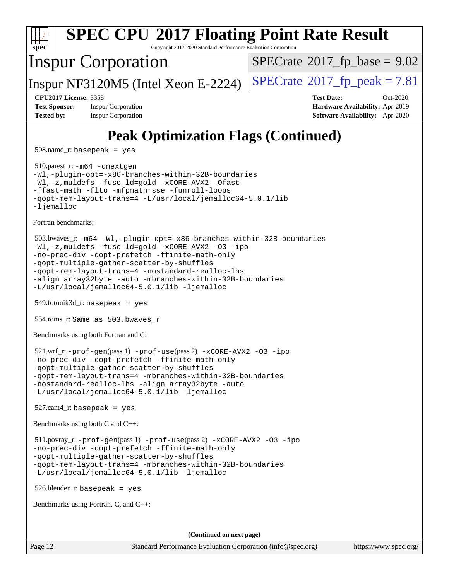![](_page_11_Picture_0.jpeg)